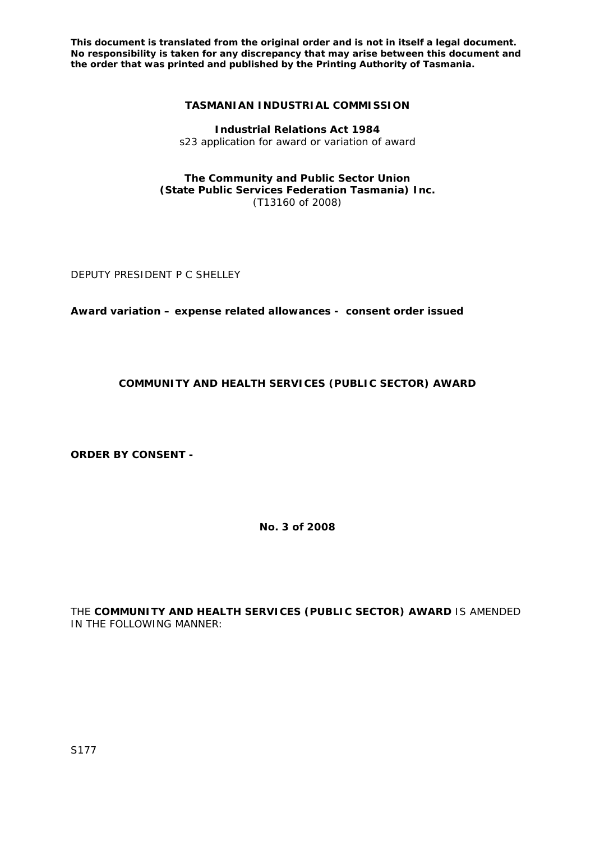## **TASMANIAN INDUSTRIAL COMMISSION**

**Industrial Relations Act 1984**  s23 application for award or variation of award

### **The Community and Public Sector Union (State Public Services Federation Tasmania) Inc.**  (T13160 of 2008)

DEPUTY PRESIDENT P C SHELLEY

**Award variation – expense related allowances - consent order issued** 

# **COMMUNITY AND HEALTH SERVICES (PUBLIC SECTOR) AWARD**

**ORDER BY CONSENT -** 

**No. 3 of 2008** 

THE **COMMUNITY AND HEALTH SERVICES (PUBLIC SECTOR) AWARD** IS AMENDED IN THE FOLLOWING MANNER: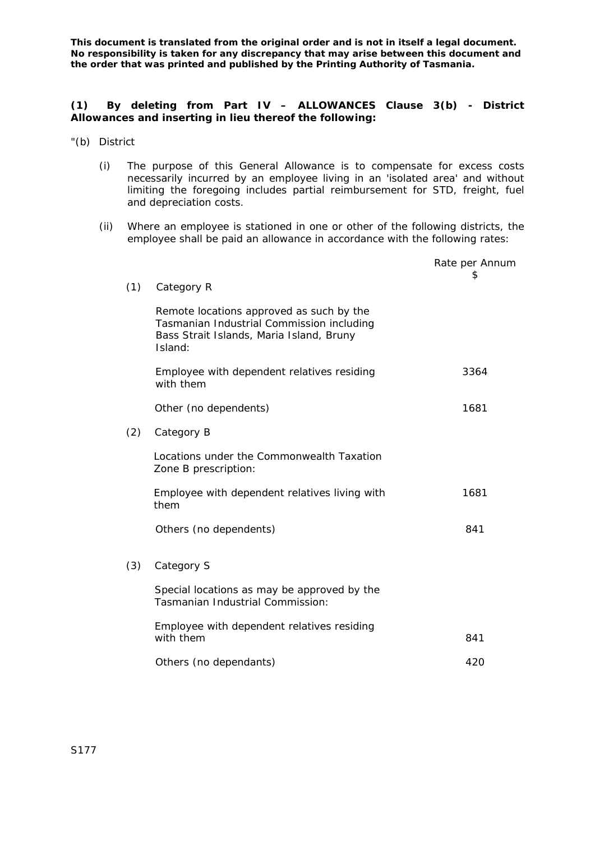## **(1) By deleting from Part IV – ALLOWANCES Clause 3(b) - District Allowances and inserting in lieu thereof the following:**

- "(b) District
	- (i) The purpose of this General Allowance is to compensate for excess costs necessarily incurred by an employee living in an 'isolated area' and without limiting the foregoing includes partial reimbursement for STD, freight, fuel and depreciation costs.
	- (ii) Where an employee is stationed in one or other of the following districts, the employee shall be paid an allowance in accordance with the following rates:

|     |                                                                                                                                              | Rate per Annum<br>S |
|-----|----------------------------------------------------------------------------------------------------------------------------------------------|---------------------|
| (1) | Category R                                                                                                                                   |                     |
|     | Remote locations approved as such by the<br>Tasmanian Industrial Commission including<br>Bass Strait Islands, Maria Island, Bruny<br>Island: |                     |
|     | Employee with dependent relatives residing<br>with them                                                                                      | 3364                |
|     | Other (no dependents)                                                                                                                        | 1681                |
| (2) | Category B                                                                                                                                   |                     |
|     | Locations under the Commonwealth Taxation<br>Zone B prescription:                                                                            |                     |
|     | Employee with dependent relatives living with<br>them                                                                                        | 1681                |
|     | Others (no dependents)                                                                                                                       | 841                 |
| (3) | Category S                                                                                                                                   |                     |
|     | Special locations as may be approved by the<br><b>Tasmanian Industrial Commission:</b>                                                       |                     |
|     | Employee with dependent relatives residing<br>with them                                                                                      | 841                 |
|     | Others (no dependants)                                                                                                                       | 420                 |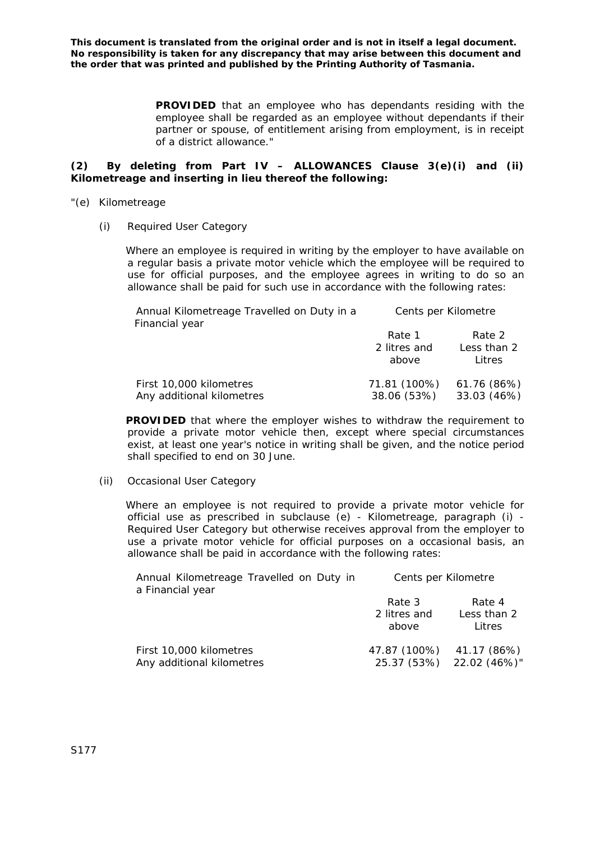> **PROVIDED** that an employee who has dependants residing with the employee shall be regarded as an employee without dependants if their partner or spouse, of entitlement arising from employment, is in receipt of a district allowance."

## **(2) By deleting from Part IV – ALLOWANCES Clause 3(e)(i) and (ii) Kilometreage and inserting in lieu thereof the following:**

- "(e) Kilometreage
	- (i) Required User Category

Where an employee is required in writing by the employer to have available on a regular basis a private motor vehicle which the employee will be required to use for official purposes, and the employee agrees in writing to do so an allowance shall be paid for such use in accordance with the following rates:

| Annual Kilometreage Travelled on Duty in a<br>Financial year | Cents per Kilometre             |                                 |  |
|--------------------------------------------------------------|---------------------------------|---------------------------------|--|
|                                                              | Rate 1<br>2 litres and<br>above | Rate 2<br>Less than 2<br>Litres |  |
| First 10,000 kilometres<br>Any additional kilometres         | 71.81 (100%)<br>38.06 (53%)     | 61.76 (86%)<br>33.03 (46%)      |  |

**PROVIDED** that where the employer wishes to withdraw the requirement to provide a private motor vehicle then, except where special circumstances exist, at least one year's notice in writing shall be given, and the notice period shall specified to end on 30 June.

(ii) Occasional User Category

Where an employee is not required to provide a private motor vehicle for official use as prescribed in subclause (e) - Kilometreage, paragraph (i) - Required User Category but otherwise receives approval from the employer to use a private motor vehicle for official purposes on a occasional basis, an allowance shall be paid in accordance with the following rates:

| Annual Kilometreage Travelled on Duty in<br>a Financial year | Cents per Kilometre             |                                 |  |
|--------------------------------------------------------------|---------------------------------|---------------------------------|--|
|                                                              | Rate 3<br>2 litres and<br>above | Rate 4<br>Less than 2<br>Litres |  |
| First 10,000 kilometres<br>Any additional kilometres         | 47.87 (100%) 41.17 (86%)        | 25.37 (53%) 22.02 (46%)"        |  |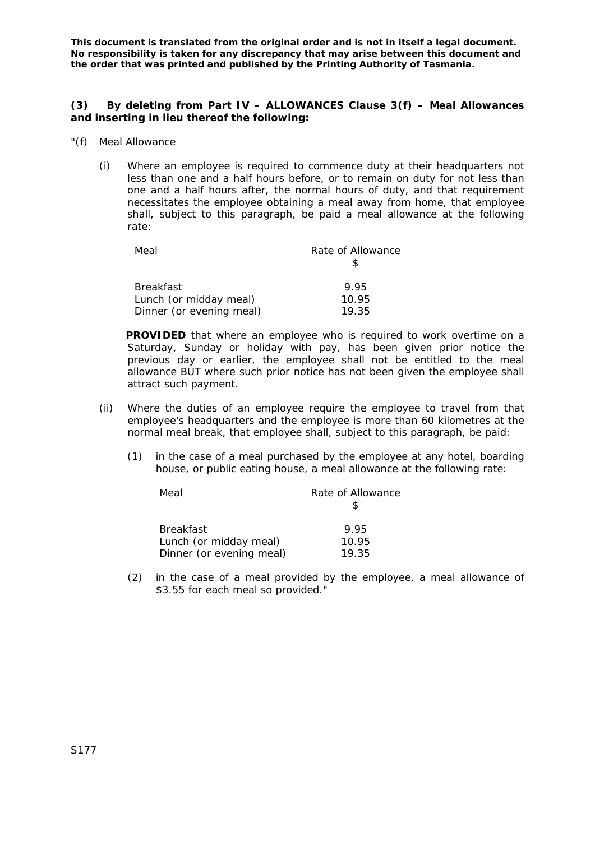### **(3) By deleting from Part IV – ALLOWANCES Clause 3(f) – Meal Allowances and inserting in lieu thereof the following:**

- "(f) Meal Allowance
	- (i) Where an employee is required to commence duty at their headquarters not less than one and a half hours before, or to remain on duty for not less than one and a half hours after, the normal hours of duty, and that requirement necessitates the employee obtaining a meal away from home, that employee shall, subject to this paragraph, be paid a meal allowance at the following rate:

| Meal                     | Rate of Allowance |  |  |
|--------------------------|-------------------|--|--|
|                          |                   |  |  |
| <b>Breakfast</b>         | 9.95              |  |  |
| Lunch (or midday meal)   | 10.95             |  |  |
| Dinner (or evening meal) | 19.35             |  |  |

**PROVIDED** that where an employee who is required to work overtime on a Saturday, Sunday or holiday with pay, has been given prior notice the previous day or earlier, the employee shall not be entitled to the meal allowance BUT where such prior notice has not been given the employee shall attract such payment.

- (ii) Where the duties of an employee require the employee to travel from that employee's headquarters and the employee is more than 60 kilometres at the normal meal break, that employee shall, subject to this paragraph, be paid:
	- (1) in the case of a meal purchased by the employee at any hotel, boarding house, or public eating house, a meal allowance at the following rate:

| Meal                     | Rate of Allowance |
|--------------------------|-------------------|
|                          |                   |
| <b>Breakfast</b>         | 995               |
| Lunch (or midday meal)   | 10.95             |
| Dinner (or evening meal) | 19.35             |

(2) in the case of a meal provided by the employee, a meal allowance of \$3.55 for each meal so provided."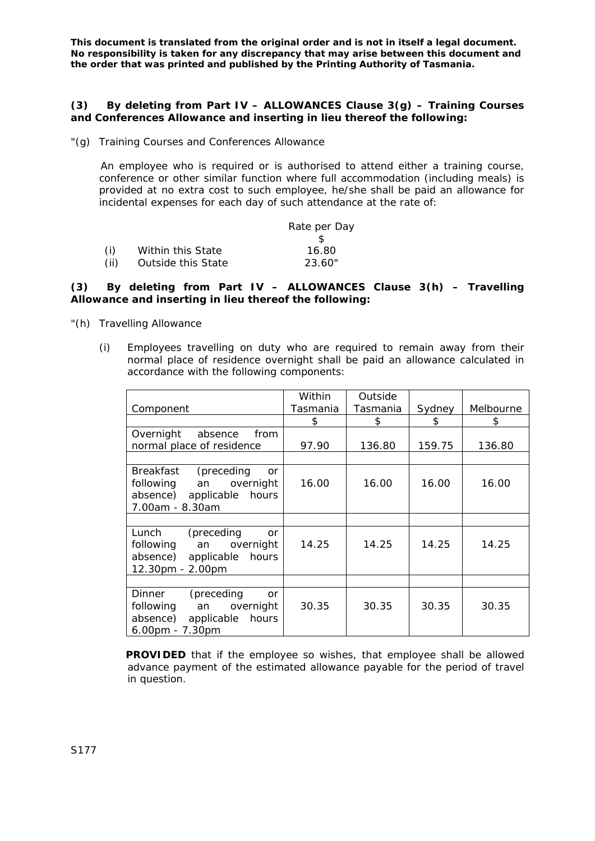#### **(3) By deleting from Part IV – ALLOWANCES Clause 3(g) – Training Courses and Conferences Allowance and inserting in lieu thereof the following:**

"(g) Training Courses and Conferences Allowance

An employee who is required or is authorised to attend either a training course, conference or other similar function where full accommodation (including meals) is provided at no extra cost to such employee, he/she shall be paid an allowance for incidental expenses for each day of such attendance at the rate of:

|      |                    | Rate per Day |
|------|--------------------|--------------|
|      |                    |              |
| (i)  | Within this State  | 16.80        |
| (ii) | Outside this State | 23.60"       |

### **(3) By deleting from Part IV – ALLOWANCES Clause 3(h) – Travelling Allowance and inserting in lieu thereof the following:**

- "(h) Travelling Allowance
	- (i) Employees travelling on duty who are required to remain away from their normal place of residence overnight shall be paid an allowance calculated in accordance with the following components:

| Component                                                                                                                         | Within<br>Tasmania | Outside<br>Tasmania | Sydney | Melbourne |
|-----------------------------------------------------------------------------------------------------------------------------------|--------------------|---------------------|--------|-----------|
|                                                                                                                                   | \$                 | \$                  | \$     | \$        |
| Overnight<br>from<br>absence<br>normal place of residence                                                                         | 97.90              | 136.80              | 159.75 | 136.80    |
|                                                                                                                                   |                    |                     |        |           |
| (preceding)<br>Breakfast<br><b>or</b><br>following<br>overnight<br>an<br>absence) applicable hours<br>7.00am - 8.30am             | 16.00              | 16.00               | 16.00  | 16.00     |
|                                                                                                                                   |                    |                     |        |           |
| Lunch<br>(preceding<br><b>or</b><br>following an<br>overnight<br>absence) applicable hours<br>12.30pm - 2.00pm                    | 14.25              | 14.25               | 14.25  | 14.25     |
|                                                                                                                                   |                    |                     |        |           |
| (preceding<br><b>Dinner</b><br><b>or</b><br>an overnight<br>following<br>absence)<br>applicable<br>hours<br>$6.00$ pm - $7.30$ pm | 30.35              | 30.35               | 30.35  | 30.35     |

**PROVIDED** that if the employee so wishes, that employee shall be allowed advance payment of the estimated allowance payable for the period of travel in question.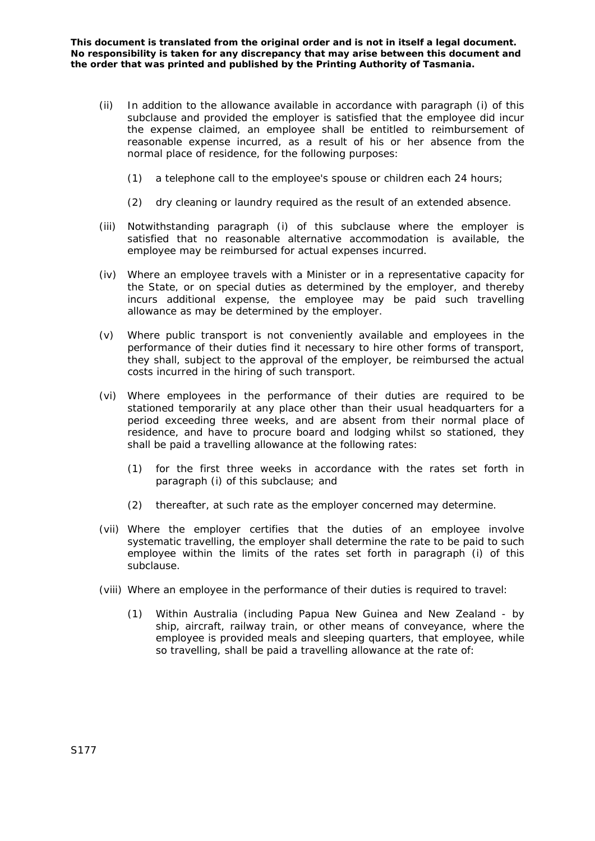- (ii) In addition to the allowance available in accordance with paragraph (i) of this subclause and provided the employer is satisfied that the employee did incur the expense claimed, an employee shall be entitled to reimbursement of reasonable expense incurred, as a result of his or her absence from the normal place of residence, for the following purposes:
	- (1) a telephone call to the employee's spouse or children each 24 hours;
	- (2) dry cleaning or laundry required as the result of an extended absence.
- (iii) Notwithstanding paragraph (i) of this subclause where the employer is satisfied that no reasonable alternative accommodation is available, the employee may be reimbursed for actual expenses incurred.
- (iv) Where an employee travels with a Minister or in a representative capacity for the State, or on special duties as determined by the employer, and thereby incurs additional expense, the employee may be paid such travelling allowance as may be determined by the employer.
- (v) Where public transport is not conveniently available and employees in the performance of their duties find it necessary to hire other forms of transport, they shall, subject to the approval of the employer, be reimbursed the actual costs incurred in the hiring of such transport.
- (vi) Where employees in the performance of their duties are required to be stationed temporarily at any place other than their usual headquarters for a period exceeding three weeks, and are absent from their normal place of residence, and have to procure board and lodging whilst so stationed, they shall be paid a travelling allowance at the following rates:
	- (1) for the first three weeks in accordance with the rates set forth in paragraph (i) of this subclause; and
	- (2) thereafter, at such rate as the employer concerned may determine.
- (vii) Where the employer certifies that the duties of an employee involve systematic travelling, the employer shall determine the rate to be paid to such employee within the limits of the rates set forth in paragraph (i) of this subclause.
- (viii) Where an employee in the performance of their duties is required to travel:
	- (1) Within Australia (including Papua New Guinea and New Zealand by ship, aircraft, railway train, or other means of conveyance, where the employee is provided meals and sleeping quarters, that employee, while so travelling, shall be paid a travelling allowance at the rate of: